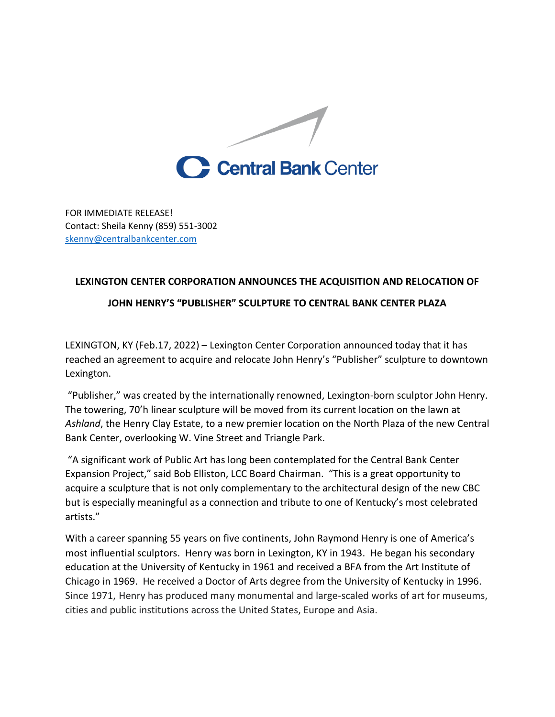

FOR IMMEDIATE RELEASE! Contact: Sheila Kenny (859) 551-3002 [skenny@centralbankcenter.com](mailto:skenny@centralbankcenter.com)

## **LEXINGTON CENTER CORPORATION ANNOUNCES THE ACQUISITION AND RELOCATION OF JOHN HENRY'S "PUBLISHER" SCULPTURE TO CENTRAL BANK CENTER PLAZA**

LEXINGTON, KY (Feb.17, 2022) – Lexington Center Corporation announced today that it has reached an agreement to acquire and relocate John Henry's "Publisher" sculpture to downtown Lexington.

"Publisher," was created by the internationally renowned, Lexington-born sculptor John Henry. The towering, 70'h linear sculpture will be moved from its current location on the lawn at *Ashland*, the Henry Clay Estate, to a new premier location on the North Plaza of the new Central Bank Center, overlooking W. Vine Street and Triangle Park.

"A significant work of Public Art has long been contemplated for the Central Bank Center Expansion Project," said Bob Elliston, LCC Board Chairman. "This is a great opportunity to acquire a sculpture that is not only complementary to the architectural design of the new CBC but is especially meaningful as a connection and tribute to one of Kentucky's most celebrated artists."

With a career spanning 55 years on five continents, John Raymond Henry is one of America's most influential sculptors. Henry was born in Lexington, KY in 1943. He began his secondary education at the University of Kentucky in 1961 and received a BFA from the Art Institute of Chicago in 1969. He received a Doctor of Arts degree from the University of Kentucky in 1996. Since 1971, Henry has produced many monumental and large-scaled works of art for museums, cities and public institutions across the United States, Europe and Asia.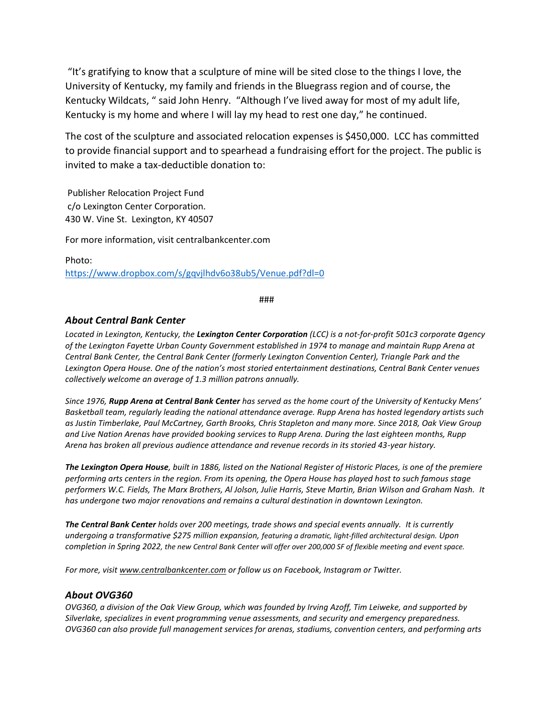"It's gratifying to know that a sculpture of mine will be sited close to the things I love, the University of Kentucky, my family and friends in the Bluegrass region and of course, the Kentucky Wildcats, " said John Henry. "Although I've lived away for most of my adult life, Kentucky is my home and where I will lay my head to rest one day," he continued.

The cost of the sculpture and associated relocation expenses is \$450,000. LCC has committed to provide financial support and to spearhead a fundraising effort for the project. The public is invited to make a tax-deductible donation to:

Publisher Relocation Project Fund c/o Lexington Center Corporation. 430 W. Vine St. Lexington, KY 40507

For more information, visit centralbankcenter.com

Photo: <https://www.dropbox.com/s/gqvjlhdv6o38ub5/Venue.pdf?dl=0>

###

## *About Central Bank Center*

*Located in Lexington, Kentucky, the Lexington Center Corporation (LCC) is a not-for-profit 501c3 corporate agency of the Lexington Fayette Urban County Government established in 1974 to manage and maintain Rupp Arena at Central Bank Center, the Central Bank Center (formerly Lexington Convention Center), Triangle Park and the Lexington Opera House. One of the nation's most storied entertainment destinations, Central Bank Center venues collectively welcome an average of 1.3 million patrons annually.* 

*Since 1976, Rupp Arena at Central Bank Center has served as the home court of the University of Kentucky Mens' Basketball team, regularly leading the national attendance average. Rupp Arena has hosted legendary artists such as Justin Timberlake, Paul McCartney, Garth Brooks, Chris Stapleton and many more. Since 2018, Oak View Group and Live Nation Arenas have provided booking services to Rupp Arena. During the last eighteen months, Rupp Arena has broken all previous audience attendance and revenue records in its storied 43-year history.*

*The Lexington Opera House, built in 1886, listed on the National Register of Historic Places, is one of the premiere performing arts centers in the region. From its opening, the Opera House has played host to such famous stage performers W.C. Fields, The Marx Brothers, Al Jolson, Julie Harris, Steve Martin, Brian Wilson and Graham Nash. It has undergone two major renovations and remains a cultural destination in downtown Lexington.* 

*The Central Bank Center holds over 200 meetings, trade shows and special events annually. It is currently undergoing a transformative \$275 million expansion, featuring a dramatic, light-filled architectural design. Upon completion in Spring 2022, the new Central Bank Center will offer over 200,000 SF of flexible meeting and event space.*

*For more, visit [www.centralbankcenter.com](http://www.centralbankcenter.com/) or follow us on Facebook, Instagram or Twitter.*

## *About OVG360*

*OVG360, a division of the Oak View Group, which was founded by Irving Azoff, Tim Leiweke, and supported by Silverlake, specializes in event programming venue assessments, and security and emergency preparedness. OVG360 can also provide full management services for arenas, stadiums, convention centers, and performing arts*